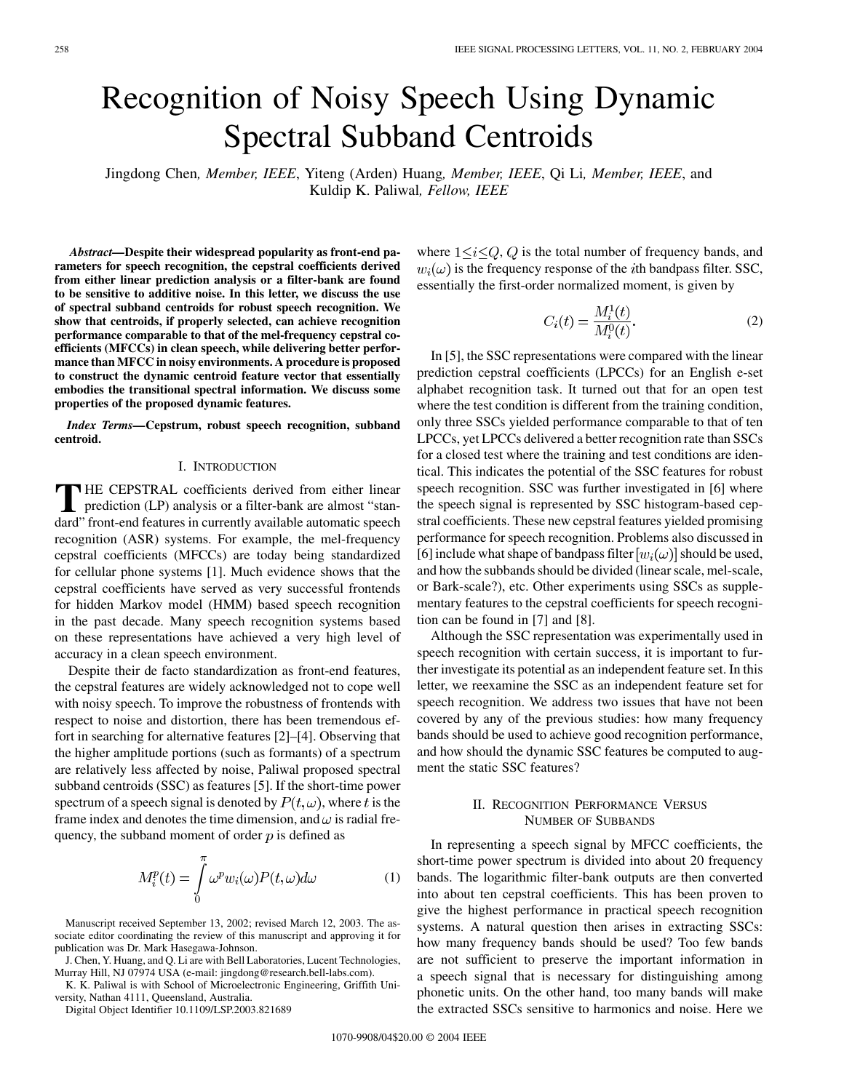# Recognition of Noisy Speech Using Dynamic Spectral Subband Centroids

Jingdong Chen*, Member, IEEE*, Yiteng (Arden) Huang*, Member, IEEE*, Qi Li*, Member, IEEE*, and Kuldip K. Paliwal*, Fellow, IEEE*

*Abstract—***Despite their widespread popularity as front-end parameters for speech recognition, the cepstral coefficients derived from either linear prediction analysis or a filter-bank are found to be sensitive to additive noise. In this letter, we discuss the use of spectral subband centroids for robust speech recognition. We show that centroids, if properly selected, can achieve recognition performance comparable to that of the mel-frequency cepstral coefficients (MFCCs) in clean speech, while delivering better performance than MFCC in noisy environments. A procedure is proposed to construct the dynamic centroid feature vector that essentially embodies the transitional spectral information. We discuss some properties of the proposed dynamic features.**

*Index Terms—***Cepstrum, robust speech recognition, subband centroid.**

## I. INTRODUCTION

**T** HE CEPSTRAL coefficients derived from either linear prediction (LP) analysis or a filter-bank are almost "standard" front-end features in currently available automatic speech recognition (ASR) systems. For example, the mel-frequency cepstral coefficients (MFCCs) are today being standardized for cellular phone systems [\[1](#page-3-0)]. Much evidence shows that the cepstral coefficients have served as very successful frontends for hidden Markov model (HMM) based speech recognition in the past decade. Many speech recognition systems based on these representations have achieved a very high level of accuracy in a clean speech environment.

Despite their de facto standardization as front-end features, the cepstral features are widely acknowledged not to cope well with noisy speech. To improve the robustness of frontends with respect to noise and distortion, there has been tremendous effort in searching for alternative features [\[2](#page-3-0)]–[[4\]](#page-3-0). Observing that the higher amplitude portions (such as formants) of a spectrum are relatively less affected by noise, Paliwal proposed spectral subband centroids (SSC) as features [\[5](#page-3-0)]. If the short-time power spectrum of a speech signal is denoted by  $P(t, \omega)$ , where t is the frame index and denotes the time dimension, and  $\omega$  is radial frequency, the subband moment of order  $p$  is defined as

$$
M_i^p(t) = \int_0^\pi \omega^p w_i(\omega) P(t, \omega) d\omega \tag{1}
$$

Manuscript received September 13, 2002; revised March 12, 2003. The associate editor coordinating the review of this manuscript and approving it for publication was Dr. Mark Hasegawa-Johnson.

J. Chen, Y. Huang, and Q. Li are with Bell Laboratories, Lucent Technologies, Murray Hill, NJ 07974 USA (e-mail: jingdong@research.bell-labs.com).

K. K. Paliwal is with School of Microelectronic Engineering, Griffith University, Nathan 4111, Queensland, Australia.

Digital Object Identifier 10.1109/LSP.2003.821689

where  $1 \le i \le Q$ , Q is the total number of frequency bands, and  $w_i(\omega)$  is the frequency response of the *i*th bandpass filter. SSC, essentially the first-order normalized moment, is given by

$$
C_i(t) = \frac{M_i^1(t)}{M_i^0(t)}.
$$
 (2)

In [\[5](#page-3-0)], the SSC representations were compared with the linear prediction cepstral coefficients (LPCCs) for an English e-set alphabet recognition task. It turned out that for an open test where the test condition is different from the training condition, only three SSCs yielded performance comparable to that of ten LPCCs, yet LPCCs delivered a better recognition rate than SSCs for a closed test where the training and test conditions are identical. This indicates the potential of the SSC features for robust speech recognition. SSC was further investigated in [[6\]](#page-3-0) where the speech signal is represented by SSC histogram-based cepstral coefficients. These new cepstral features yielded promising performance for speech recognition. Problems also discussed in [[6\]](#page-3-0) include what shape of bandpass filter  $[w_i(\omega)]$  should be used, and how the subbands should be divided (linear scale, mel-scale, or Bark-scale?), etc. Other experiments using SSCs as supplementary features to the cepstral coefficients for speech recognition can be found in [[7\]](#page-3-0) and [\[8](#page-3-0)].

Although the SSC representation was experimentally used in speech recognition with certain success, it is important to further investigate its potential as an independent feature set. In this letter, we reexamine the SSC as an independent feature set for speech recognition. We address two issues that have not been covered by any of the previous studies: how many frequency bands should be used to achieve good recognition performance, and how should the dynamic SSC features be computed to augment the static SSC features?

## II. RECOGNITION PERFORMANCE VERSUS NUMBER OF SUBBANDS

In representing a speech signal by MFCC coefficients, the short-time power spectrum is divided into about 20 frequency bands. The logarithmic filter-bank outputs are then converted into about ten cepstral coefficients. This has been proven to give the highest performance in practical speech recognition systems. A natural question then arises in extracting SSCs: how many frequency bands should be used? Too few bands are not sufficient to preserve the important information in a speech signal that is necessary for distinguishing among phonetic units. On the other hand, too many bands will make the extracted SSCs sensitive to harmonics and noise. Here we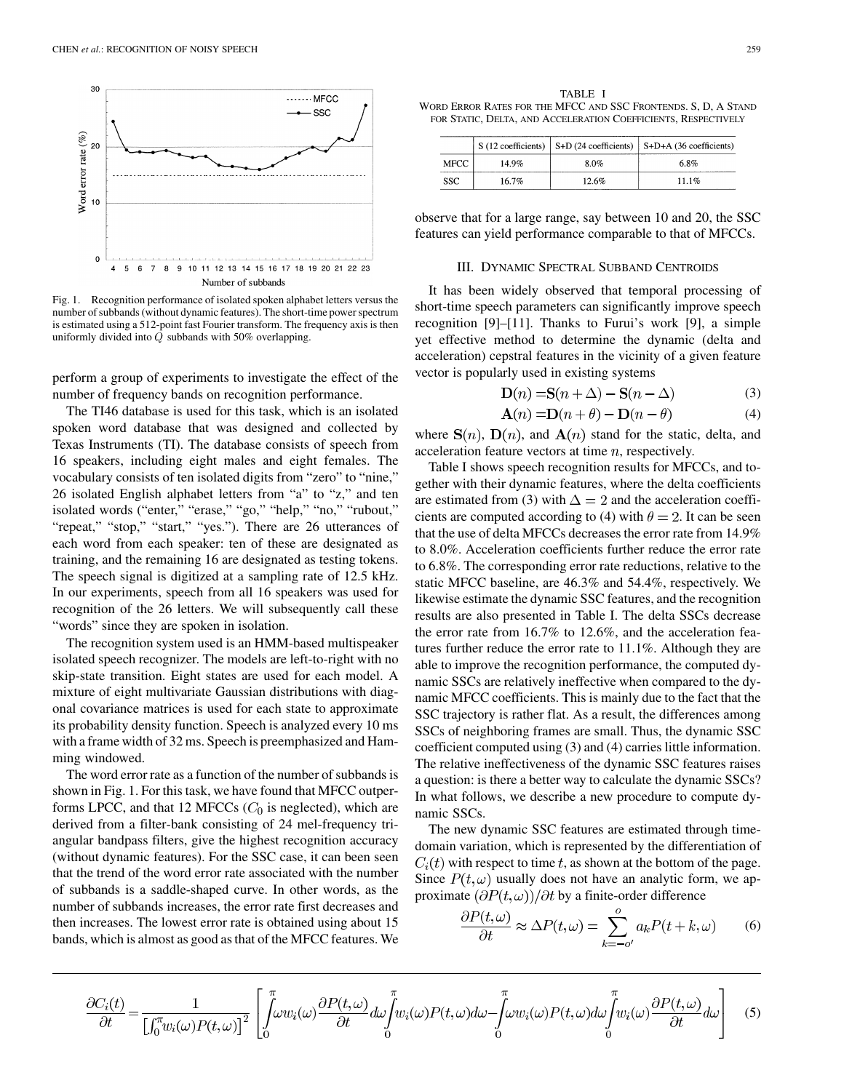

Fig. 1. Recognition performance of isolated spoken alphabet letters versus the number of subbands (without dynamic features). The short-time power spectrum is estimated using a 512-point fast Fourier transform. The frequency axis is then uniformly divided into Q subbands with 50% overlapping.

perform a group of experiments to investigate the effect of the number of frequency bands on recognition performance.

The TI46 database is used for this task, which is an isolated spoken word database that was designed and collected by Texas Instruments (TI). The database consists of speech from 16 speakers, including eight males and eight females. The vocabulary consists of ten isolated digits from "zero" to "nine," 26 isolated English alphabet letters from "a" to "z," and ten isolated words ("enter," "erase," "go," "help," "no," "rubout," "repeat," "stop," "start," "yes."). There are 26 utterances of each word from each speaker: ten of these are designated as training, and the remaining 16 are designated as testing tokens. The speech signal is digitized at a sampling rate of 12.5 kHz. In our experiments, speech from all 16 speakers was used for recognition of the 26 letters. We will subsequently call these "words" since they are spoken in isolation.

The recognition system used is an HMM-based multispeaker isolated speech recognizer. The models are left-to-right with no skip-state transition. Eight states are used for each model. A mixture of eight multivariate Gaussian distributions with diagonal covariance matrices is used for each state to approximate its probability density function. Speech is analyzed every 10 ms with a frame width of 32 ms. Speech is preemphasized and Hamming windowed.

The word error rate as a function of the number of subbands is shown in Fig. 1. For this task, we have found that MFCC outperforms LPCC, and that 12 MFCCs  $(C_0$  is neglected), which are derived from a filter-bank consisting of 24 mel-frequency triangular bandpass filters, give the highest recognition accuracy (without dynamic features). For the SSC case, it can been seen that the trend of the word error rate associated with the number of subbands is a saddle-shaped curve. In other words, as the number of subbands increases, the error rate first decreases and then increases. The lowest error rate is obtained using about 15 bands, which is almost as good as that of the MFCC features. We

TABLE I WORD ERROR RATES FOR THE MFCC AND SSC FRONTENDS. S, D, A STAND FOR STATIC, DELTA, AND ACCELERATION COEFFICIENTS, RESPECTIVELY

|      |       |       | S (12 coefficients)   S+D (24 coefficients)   S+D+A (36 coefficients) |
|------|-------|-------|-----------------------------------------------------------------------|
| MFCC | 14.9% | 8.0%  | 6.8%                                                                  |
| SSC. | 16.7% | 12.6% | $11.1\%$                                                              |

observe that for a large range, say between 10 and 20, the SSC features can yield performance comparable to that of MFCCs.

### III. DYNAMIC SPECTRAL SUBBAND CENTROIDS

It has been widely observed that temporal processing of short-time speech parameters can significantly improve speech recognition [[9\]](#page-3-0)–[\[11](#page-3-0)]. Thanks to Furui's work [[9\]](#page-3-0), a simple yet effective method to determine the dynamic (delta and acceleration) cepstral features in the vicinity of a given feature vector is popularly used in existing systems

$$
\mathbf{D}(n) = \mathbf{S}(n + \Delta) - \mathbf{S}(n - \Delta)
$$
 (3)

$$
\mathbf{A}(n) = \mathbf{D}(n+\theta) - \mathbf{D}(n-\theta) \tag{4}
$$

where  $S(n)$ ,  $D(n)$ , and  $A(n)$  stand for the static, delta, and acceleration feature vectors at time  $n$ , respectively.

Table I shows speech recognition results for MFCCs, and together with their dynamic features, where the delta coefficients are estimated from (3) with  $\Delta = 2$  and the acceleration coefficients are computed according to (4) with  $\theta = 2$ . It can be seen that the use of delta MFCCs decreases the error rate from 14.9% to 8.0%. Acceleration coefficients further reduce the error rate to 6.8%. The corresponding error rate reductions, relative to the static MFCC baseline, are 46.3% and 54.4%, respectively. We likewise estimate the dynamic SSC features, and the recognition results are also presented in Table I. The delta SSCs decrease the error rate from 16.7% to 12.6%, and the acceleration features further reduce the error rate to 11.1%. Although they are able to improve the recognition performance, the computed dynamic SSCs are relatively ineffective when compared to the dynamic MFCC coefficients. This is mainly due to the fact that the SSC trajectory is rather flat. As a result, the differences among SSCs of neighboring frames are small. Thus, the dynamic SSC coefficient computed using (3) and (4) carries little information. The relative ineffectiveness of the dynamic SSC features raises a question: is there a better way to calculate the dynamic SSCs? In what follows, we describe a new procedure to compute dynamic SSCs.

The new dynamic SSC features are estimated through timedomain variation, which is represented by the differentiation of  $C_i(t)$  with respect to time t, as shown at the bottom of the page. Since  $P(t, \omega)$  usually does not have an analytic form, we approximate  $\left(\frac{\partial P(t,\omega)}{\partial t}\right)$  by a finite-order difference

$$
\frac{\partial P(t,\omega)}{\partial t} \approx \Delta P(t,\omega) = \sum_{k=-o'}^{o} a_k P(t+k,\omega) \tag{6}
$$

$$
\frac{\partial C_i(t)}{\partial t} = \frac{1}{\left[\int_0^{\pi} w_i(\omega) P(t, \omega)\right]^2} \left[\int_0^{\pi} \omega w_i(\omega) \frac{\partial P(t, \omega)}{\partial t} d\omega \int_0^{\pi} w_i(\omega) P(t, \omega) d\omega - \int_0^{\pi} \omega w_i(\omega) P(t, \omega) d\omega \int_0^{\pi} w_i(\omega) \frac{\partial P(t, \omega)}{\partial t} d\omega\right]
$$
(5)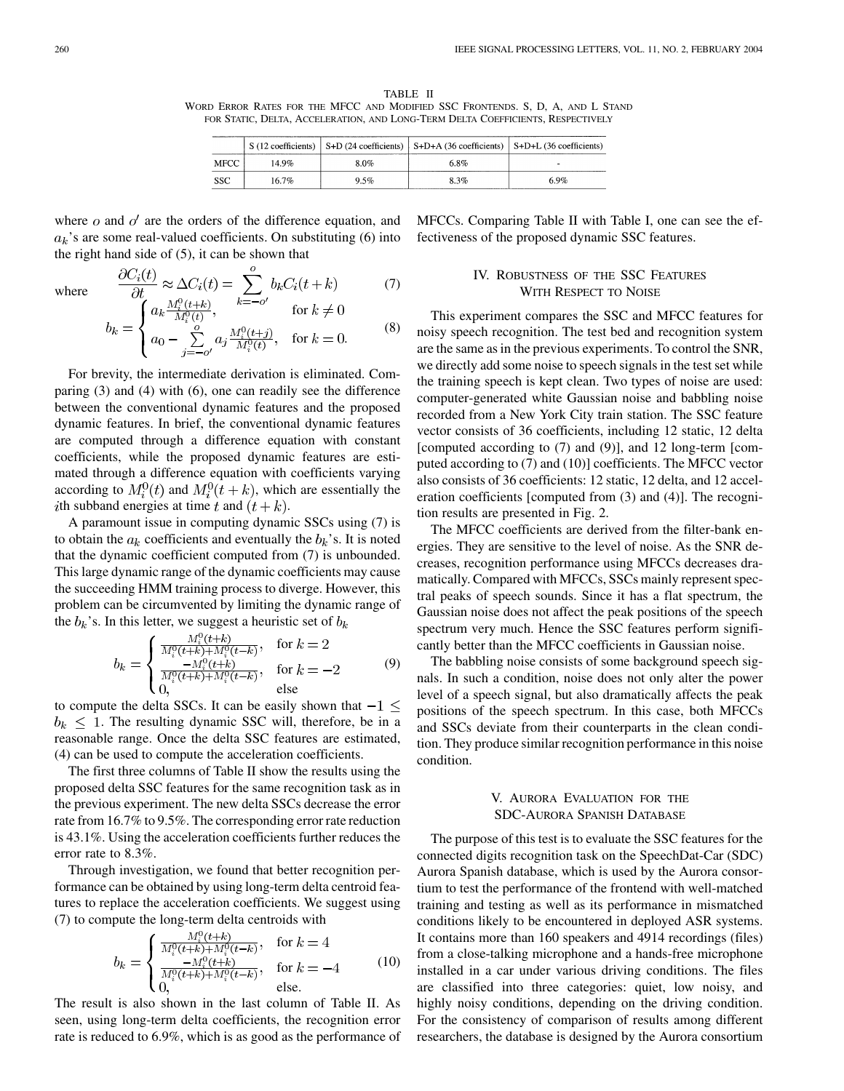TABLE II WORD ERROR RATES FOR THE MFCC AND MODIFIED SSC FRONTENDS. S, D, A, AND L STAND FOR STATIC, DELTA, ACCELERATION, AND LONG-TERM DELTA COEFFICIENTS, RESPECTIVELY

|      |       |      | $S(12 \text{ coefficients})$ S+D (24 coefficients) S+D+A (36 coefficients) S+D+L (36 coefficients) |     |
|------|-------|------|----------------------------------------------------------------------------------------------------|-----|
| MFCC | 14 9% | 8.0% | 6.8%                                                                                               | -   |
| -SSC | 16.7% | 9.5% | 8.3%                                                                                               | 69% |

where  $\sigma$  and  $\sigma'$  are the orders of the difference equation, and  $a_k$ 's are some real-valued coefficients. On substituting (6) into the right hand side of (5), it can be shown that

where 
$$
\frac{\partial C_i(t)}{\partial t} \approx \Delta C_i(t) = \sum_{k=-o'}^{o} b_k C_i(t+k)
$$
 (7)  
\n
$$
\begin{cases} a_k \frac{M_i^0(t+k)}{M^0(t)}, & \text{for } k \neq 0 \end{cases}
$$

$$
b_k = \begin{cases} a_1 \sum_{i,j=0}^{N_i^0(t)} a_j \frac{M_i^0(t+j)}{M_i^0(t)}, & \text{for } k = 0. \end{cases}
$$
 (8)

For brevity, the intermediate derivation is eliminated. Comparing (3) and (4) with (6), one can readily see the difference between the conventional dynamic features and the proposed dynamic features. In brief, the conventional dynamic features are computed through a difference equation with constant coefficients, while the proposed dynamic features are estimated through a difference equation with coefficients varying according to  $M_i^0(t)$  and  $M_i^0(t+k)$ , which are essentially the ith subband energies at time t and  $(t + k)$ .

A paramount issue in computing dynamic SSCs using (7) is to obtain the  $a_k$  coefficients and eventually the  $b_k$ 's. It is noted that the dynamic coefficient computed from (7) is unbounded. This large dynamic range of the dynamic coefficients may cause the succeeding HMM training process to diverge. However, this problem can be circumvented by limiting the dynamic range of the  $b_k$ 's. In this letter, we suggest a heuristic set of  $b_k$ 

$$
b_k = \begin{cases} \frac{M_i^0(t+k)}{M_i^0(t+k) + M_i^0(t-k)}, & \text{for } k = 2\\ \frac{-M_i^0(t+k)}{M_i^0(t+k) + M_i^0(t-k)}, & \text{for } k = -2\\ 0, & \text{else} \end{cases}
$$
(9)

to compute the delta SSCs. It can be easily shown that  $-1 \le$  $b_k \leq 1$ . The resulting dynamic SSC will, therefore, be in a reasonable range. Once the delta SSC features are estimated, (4) can be used to compute the acceleration coefficients.

The first three columns of Table II show the results using the proposed delta SSC features for the same recognition task as in the previous experiment. The new delta SSCs decrease the error rate from 16.7% to 9.5%. The corresponding error rate reduction is 43.1%. Using the acceleration coefficients further reduces the error rate to 8.3%.

Through investigation, we found that better recognition performance can be obtained by using long-term delta centroid features to replace the acceleration coefficients. We suggest using (7) to compute the long-term delta centroids with

$$
b_k = \begin{cases} \frac{M_i^0(t+k)}{M_i^0(t+k) + M_i^0(t-k)}, & \text{for } k = 4\\ \frac{-M_i^0(t+k)}{M_i^0(t+k) + M_i^0(t-k)}, & \text{for } k = -4\\ 0, & \text{else.} \end{cases}
$$
(10)

The result is also shown in the last column of Table II. As seen, using long-term delta coefficients, the recognition error rate is reduced to 6.9%, which is as good as the performance of MFCCs. Comparing Table II with Table I, one can see the effectiveness of the proposed dynamic SSC features.

## IV. ROBUSTNESS OF THE SSC FEATURES WITH RESPECT TO NOISE

This experiment compares the SSC and MFCC features for noisy speech recognition. The test bed and recognition system are the same as in the previous experiments. To control the SNR, we directly add some noise to speech signals in the test set while the training speech is kept clean. Two types of noise are used: computer-generated white Gaussian noise and babbling noise recorded from a New York City train station. The SSC feature vector consists of 36 coefficients, including 12 static, 12 delta [computed according to (7) and (9)], and 12 long-term [computed according to (7) and (10)] coefficients. The MFCC vector also consists of 36 coefficients: 12 static, 12 delta, and 12 acceleration coefficients [computed from (3) and (4)]. The recognition results are presented in Fig. 2.

The MFCC coefficients are derived from the filter-bank energies. They are sensitive to the level of noise. As the SNR decreases, recognition performance using MFCCs decreases dramatically. Compared with MFCCs, SSCs mainly represent spectral peaks of speech sounds. Since it has a flat spectrum, the Gaussian noise does not affect the peak positions of the speech spectrum very much. Hence the SSC features perform significantly better than the MFCC coefficients in Gaussian noise.

The babbling noise consists of some background speech signals. In such a condition, noise does not only alter the power level of a speech signal, but also dramatically affects the peak positions of the speech spectrum. In this case, both MFCCs and SSCs deviate from their counterparts in the clean condition. They produce similar recognition performance in this noise condition.

## V. AURORA EVALUATION FOR THE SDC-AURORA SPANISH DATABASE

The purpose of this test is to evaluate the SSC features for the connected digits recognition task on the SpeechDat-Car (SDC) Aurora Spanish database, which is used by the Aurora consortium to test the performance of the frontend with well-matched training and testing as well as its performance in mismatched conditions likely to be encountered in deployed ASR systems. It contains more than 160 speakers and 4914 recordings (files) from a close-talking microphone and a hands-free microphone installed in a car under various driving conditions. The files are classified into three categories: quiet, low noisy, and highly noisy conditions, depending on the driving condition. For the consistency of comparison of results among different researchers, the database is designed by the Aurora consortium